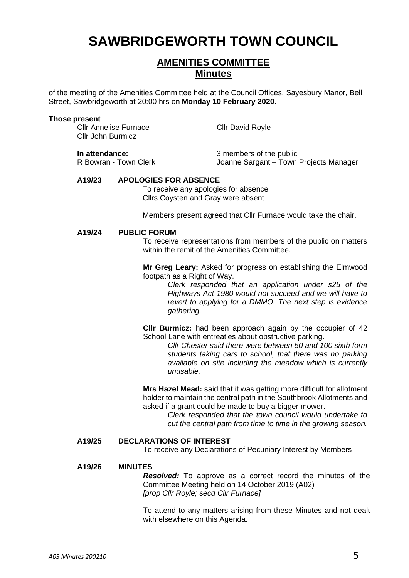# **SAWBRIDGEWORTH TOWN COUNCIL**

# **AMENITIES COMMITTEE Minutes**

of the meeting of the Amenities Committee held at the Council Offices, Sayesbury Manor, Bell Street, Sawbridgeworth at 20:00 hrs on **Monday 10 February 2020.**

#### **Those present**

| <b>CIIr Annelise Furnace</b><br><b>CIIr John Burmicz</b>                                                                                          |                       | <b>Cllr David Royle</b>                                           |
|---------------------------------------------------------------------------------------------------------------------------------------------------|-----------------------|-------------------------------------------------------------------|
| In attendance:                                                                                                                                    | R Bowran - Town Clerk | 3 members of the public<br>Joanne Sargant - Town Projects Manager |
| A19/23<br><b>APOLOGIES FOR ABSENCE</b><br>To receive any apologies for absence<br>Cllrs Coysten and Gray were absent                              |                       | Members present agreed that CIIr Furnace would take the chair.    |
| <b>PUBLIC FORUM</b><br>A19/24<br>To receive representations from members of the public on matters<br>within the remit of the Amenities Committee. |                       |                                                                   |
|                                                                                                                                                   |                       | Mr Greg Leary: Asked for progress on establishing the Elmwood     |

footpath as a Right of Way. *Clerk responded that an application under s25 of the* 

*Highways Act 1980 would not succeed and we will have to revert to applying for a DMMO. The next step is evidence gathering.*

**Cllr Burmicz:** had been approach again by the occupier of 42 School Lane with entreaties about obstructive parking.

> *Cllr Chester said there were between 50 and 100 sixth form students taking cars to school, that there was no parking available on site including the meadow which is currently unusable.*

**Mrs Hazel Mead:** said that it was getting more difficult for allotment holder to maintain the central path in the Southbrook Allotments and asked if a grant could be made to buy a bigger mower.

> *Clerk responded that the town council would undertake to cut the central path from time to time in the growing season.*

# **A19/25 DECLARATIONS OF INTEREST**

To receive any Declarations of Pecuniary Interest by Members

#### **A19/26 MINUTES**

*Resolved:* To approve as a correct record the minutes of the Committee Meeting held on 14 October 2019 (A02) *[prop Cllr Royle; secd Cllr Furnace]*

To attend to any matters arising from these Minutes and not dealt with elsewhere on this Agenda.